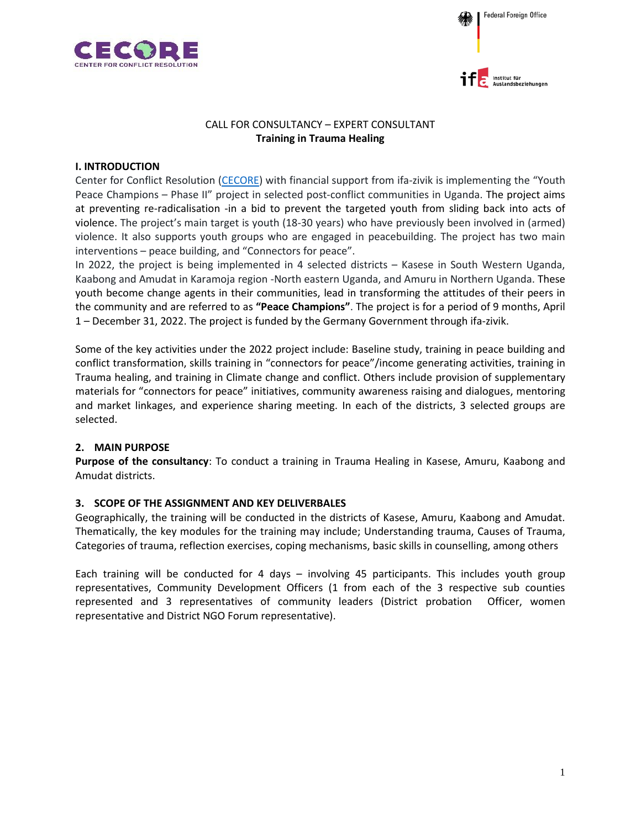





## CALL FOR CONSULTANCY – EXPERT CONSULTANT **Training in Trauma Healing**

### **I. INTRODUCTION**

Center for Conflict Resolution [\(CECORE\)](https://www.cecore.or.ug/) with financial support from ifa-zivik is implementing the "Youth Peace Champions – Phase II" project in selected post-conflict communities in Uganda. The project aims at preventing re-radicalisation -in a bid to prevent the targeted youth from sliding back into acts of violence. The project's main target is youth (18-30 years) who have previously been involved in (armed) violence. It also supports youth groups who are engaged in peacebuilding. The project has two main interventions – peace building, and "Connectors for peace".

In 2022, the project is being implemented in 4 selected districts – Kasese in South Western Uganda, Kaabong and Amudat in Karamoja region -North eastern Uganda, and Amuru in Northern Uganda. These youth become change agents in their communities, lead in transforming the attitudes of their peers in the community and are referred to as **"Peace Champions"**. The project is for a period of 9 months, April 1 – December 31, 2022. The project is funded by the Germany Government through ifa-zivik.

Some of the key activities under the 2022 project include: Baseline study, training in peace building and conflict transformation, skills training in "connectors for peace"/income generating activities, training in Trauma healing, and training in Climate change and conflict. Others include provision of supplementary materials for "connectors for peace" initiatives, community awareness raising and dialogues, mentoring and market linkages, and experience sharing meeting. In each of the districts, 3 selected groups are selected.

# **2. MAIN PURPOSE**

**Purpose of the consultancy**: To conduct a training in Trauma Healing in Kasese, Amuru, Kaabong and Amudat districts.

# **3. SCOPE OF THE ASSIGNMENT AND KEY DELIVERBALES**

Geographically, the training will be conducted in the districts of Kasese, Amuru, Kaabong and Amudat. Thematically, the key modules for the training may include; Understanding trauma, Causes of Trauma, Categories of trauma, reflection exercises, coping mechanisms, basic skills in counselling, among others

Each training will be conducted for 4 days – involving 45 participants. This includes youth group representatives, Community Development Officers (1 from each of the 3 respective sub counties represented and 3 representatives of community leaders (District probation Officer, women representative and District NGO Forum representative).